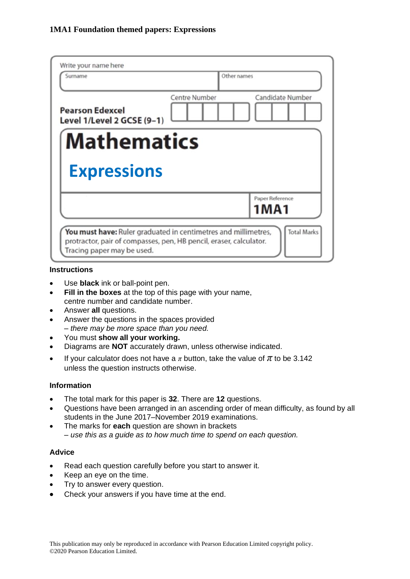| Write your name here<br>Surname                      | Other names                       |
|------------------------------------------------------|-----------------------------------|
| <b>Pearson Edexcel</b><br>Level 1/Level 2 GCSE (9-1) | Candidate Number<br>Centre Number |
| <b>Mathematics</b>                                   |                                   |
|                                                      |                                   |
| <b>Expressions</b>                                   |                                   |
|                                                      | Paper Reference<br><b>1MA1</b>    |

#### **Instructions**

- Use **black** ink or ball-point pen.
- **Fill in the boxes** at the top of this page with your name, centre number and candidate number.
- Answer **all** questions.
- Answer the questions in the spaces provided *– there may be more space than you need.*
- You must **show all your working.**
- Diagrams are **NOT** accurately drawn, unless otherwise indicated.
- If your calculator does not have a  $\pi$  button, take the value of  $\pi$  to be 3.142 unless the question instructs otherwise.

## **Information**

- The total mark for this paper is **32**. There are **12** questions.
- Questions have been arranged in an ascending order of mean difficulty, as found by all students in the June 2017–November 2019 examinations.
- The marks for **each** question are shown in brackets *– use this as a guide as to how much time to spend on each question.*

## **Advice**

- Read each question carefully before you start to answer it.
- Keep an eye on the time.
- Try to answer every question.
- Check your answers if you have time at the end.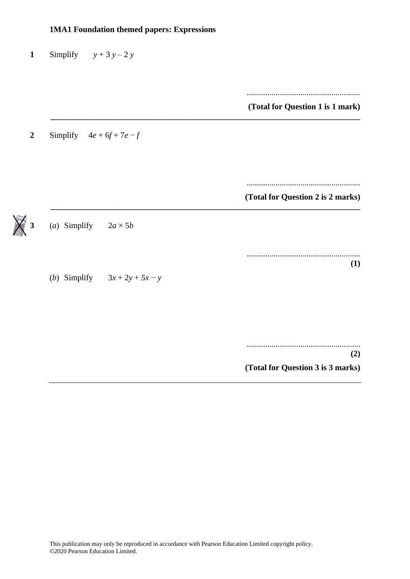| <b>1MA1 Foundation themed papers: Expressions</b> |                                   |  |
|---------------------------------------------------|-----------------------------------|--|
| Simplify $y + 3y - 2y$                            |                                   |  |
|                                                   | (Total for Question 1 is 1 mark)  |  |
| Simplify $4e + 6f + 7e - f$                       |                                   |  |
|                                                   | (Total for Question 2 is 2 marks) |  |
| (a) Simplify $2a \times 5b$                       |                                   |  |
|                                                   | (1)                               |  |
| (b) Simplify $3x + 2y + 5x - y$                   |                                   |  |
|                                                   |                                   |  |
|                                                   | (2)                               |  |
|                                                   | (Total for Question 3 is 3 marks) |  |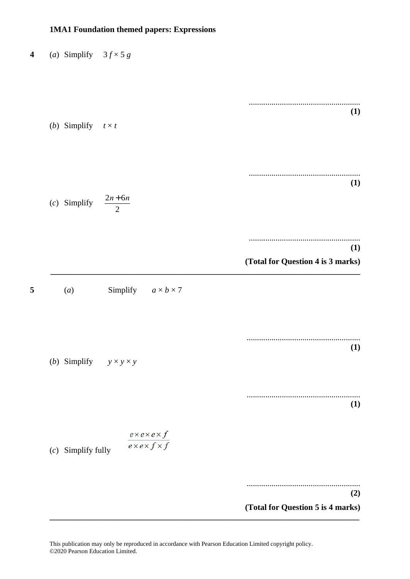#### **1MA1 Foundation themed papers: Expressions**

**4** (*a*) Simplify  $3f \times 5g$ ...................................................... **(1)** (*b*) Simplify  $t \times t$ ...................................................... **(1)** (*c*) Simplify  $\frac{2n+6n}{2}$ 2 ...................................................... **(1) (Total for Question 4 is 3 marks) \_\_\_\_\_\_\_\_\_\_\_\_\_\_\_\_\_\_\_\_\_\_\_\_\_\_\_\_\_\_\_\_\_\_\_\_\_\_\_\_\_\_\_\_\_\_\_\_\_\_\_\_\_\_\_\_\_\_\_\_\_\_\_\_\_\_\_\_\_\_\_\_\_\_\_ 5** (*a*) Simplify  $a \times b \times 7$ ....................................................... **(1)** (*b*) Simplify  $y \times y \times y$ ....................................................... **(1)**  $\frac{e \times e \times e \times f}{e \times e \times f \times f}$ (*c*) Simplify fully ....................................................... **(2) (Total for Question 5 is 4 marks) \_\_\_\_\_\_\_\_\_\_\_\_\_\_\_\_\_\_\_\_\_\_\_\_\_\_\_\_\_\_\_\_\_\_\_\_\_\_\_\_\_\_\_\_\_\_\_\_\_\_\_\_\_\_\_\_\_\_\_\_\_\_\_\_\_\_\_\_\_\_\_\_\_\_\_**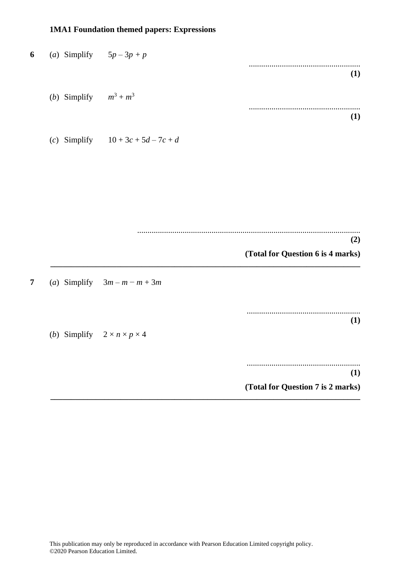# **1MA1 Foundation themed papers: Expressions**

|                                   | (a) Simplify $5p-3p+p$                               |  |
|-----------------------------------|------------------------------------------------------|--|
| (1)                               |                                                      |  |
|                                   | ( <i>b</i> ) Simplify $m^3 + m^3$                    |  |
| (1)                               |                                                      |  |
|                                   | (c) Simplify $10 + 3c + 5d - 7c + d$                 |  |
|                                   |                                                      |  |
|                                   |                                                      |  |
|                                   |                                                      |  |
| (2)                               |                                                      |  |
| (Total for Question 6 is 4 marks) |                                                      |  |
|                                   | (a) Simplify $3m - m - m + 3m$                       |  |
| (1)                               |                                                      |  |
|                                   | ( <i>b</i> ) Simplify $2 \times n \times p \times 4$ |  |
| (1)                               |                                                      |  |
| (Total for Question 7 is 2 marks) |                                                      |  |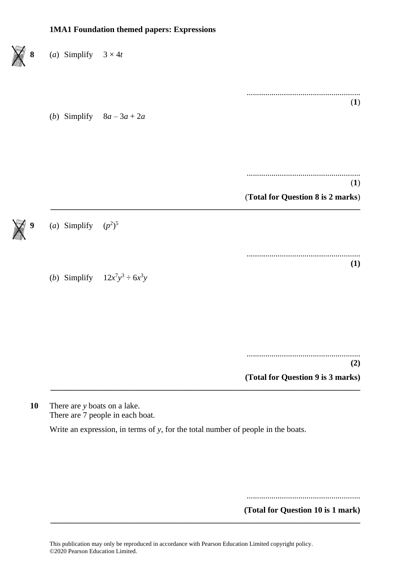# **1MA1 Foundation themed papers: Expressions** (*a*) Simplify  $3 \times 4t$ ....................................................... (**1**) (*b*) Simplify 8*a* – 3*a* + 2*a* ....................................................... (**1**) (**Total for Question 8 is 2 marks**) **\_\_\_\_\_\_\_\_\_\_\_\_\_\_\_\_\_\_\_\_\_\_\_\_\_\_\_\_\_\_\_\_\_\_\_\_\_\_\_\_\_\_\_\_\_\_\_\_\_\_\_\_\_\_\_\_\_\_\_\_\_\_\_\_\_\_\_\_\_\_\_\_\_\_\_ 9** (*a*) Simplify  $(p^2)^5$ ....................................................... **(1)** (*b*) Simplify  $12x^7y^3 \div 6x^3y$ ....................................................... **(2) (Total for Question 9 is 3 marks) \_\_\_\_\_\_\_\_\_\_\_\_\_\_\_\_\_\_\_\_\_\_\_\_\_\_\_\_\_\_\_\_\_\_\_\_\_\_\_\_\_\_\_\_\_\_\_\_\_\_\_\_\_\_\_\_\_\_\_\_\_\_\_\_\_\_\_\_\_\_\_\_\_\_\_**

**10** There are *y* boats on a lake. There are 7 people in each boat.

Write an expression, in terms of *y*, for the total number of people in the boats.

.......................................................

**(Total for Question 10 is 1 mark)**

**\_\_\_\_\_\_\_\_\_\_\_\_\_\_\_\_\_\_\_\_\_\_\_\_\_\_\_\_\_\_\_\_\_\_\_\_\_\_\_\_\_\_\_\_\_\_\_\_\_\_\_\_\_\_\_\_\_\_\_\_\_\_\_\_\_\_\_\_\_\_\_\_\_\_\_**